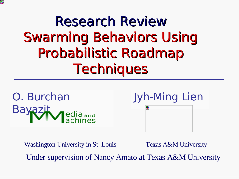### Research Review Swarming Behaviors Using Probabilistic Roadmap **Techniques**



ņ.

Jyh-Ming Lien



Washington University in St. Louis Texas A&M University

Under supervision of Nancy Amato at Texas A&M University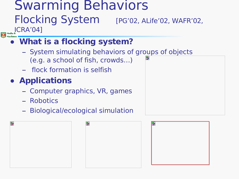### Swarming Behaviors Flocking System [PG'02, ALife'02, WAFR'02,

### ICRA'04]

### ● **What is a flocking system?**

- System simulating behaviors of groups of objects (e.g. a school of fish, crowds…)
- flock formation is selfish

### ● **Applications**

- Computer graphics, VR, games
- Robotics
- Biological/ecological simulation

| Þ | <mark>Д</mark> е |
|---|------------------|
|   |                  |
|   |                  |
|   |                  |
|   |                  |
|   |                  |

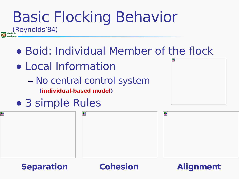(Reynolds'84)

- Boid: Individual Member of the flock
- Local Information
	- No central control system **(individual-based model)**
- 3 simple Rules





**Separation Cohesion Alignment**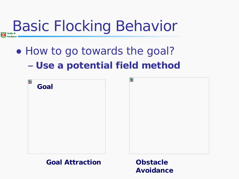• How to go towards the goal? – **Use a potential field method**

| <mark>Д</mark> е<br>Goal | ą. |
|--------------------------|----|
|                          |    |
|                          |    |
|                          |    |
|                          |    |

#### **Goal Attraction Obstacle**

**Avoidance**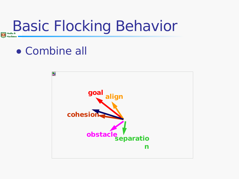### • Combine all

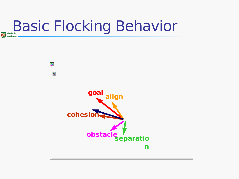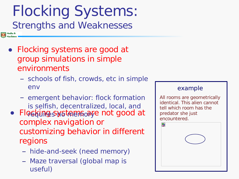### Flocking Systems: Strengths and Weaknesses Media &

- Flocking systems are good at group simulations in simple environments
	- schools of fish, crowds, etc in simple env
	- emergent behavior: flock formation is selfish, decentralized, local, and
	- Flocking systams are not good at complex navigation or customizing behavior in different regions
		- hide-and-seek (need memory)
		- Maze traversal (global map is useful)



All rooms are geometrically identical. This alien cannot tell which room has the predator she just encountered.

П.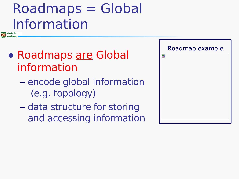### Roadmaps = Global Information **Ham** Media &<br>**RAD** Machines

- Roadmaps are Global information
	- encode global information (e.g. topology)
	- data structure for storing and accessing information

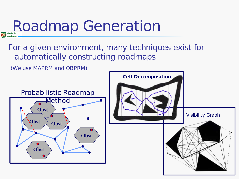# Roadmap Generation

For a given environment, many techniques exist for automatically constructing roadmaps

(We use MAPRM and OBPRM)

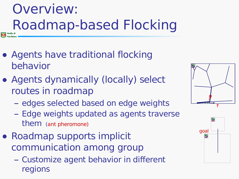## Overview: Roadmap-based Flocking

- Agents have traditional flocking behavior
- Agents dynamically (locally) select routes in roadmap
	- edges selected based on edge weights
	- Edge weights updated as agents traverse them (ant pheromone)
- Roadmap supports implicit communication among group
	- Customize agent behavior in different regions



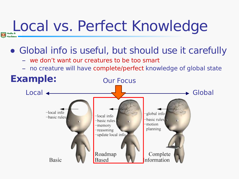## Local vs. Perfect Knowledge

### • Global info is useful, but should use it carefully

- we don't want our creatures to be too smart
- no creature will have complete/perfect knowledge of global state

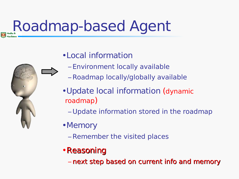# Roadmap-based Agent

#### •Local information

- Environment locally available
- Roadmap locally/globally available
- •Update local information (dynamic roadmap)
	- Update information stored in the roadmap
- •Memory
	- Remember the visited places

### •Reasoning

– next step based on current info and memory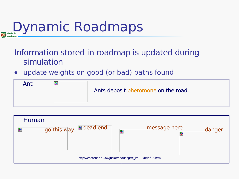

#### Information stored in roadmap is updated during simulation

update weights on good (or bad) paths found



| Human |                        |                                                             |    |              |        |
|-------|------------------------|-------------------------------------------------------------|----|--------------|--------|
| P.    | go this way a dead end |                                                             | ų. | message here | danger |
|       |                        |                                                             |    |              |        |
|       |                        |                                                             |    |              |        |
|       |                        | http://content.edu.tw/junior/scouting/tc_jr/108/brief03.htm |    |              |        |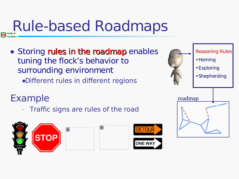# Rule-based Roadmaps

• Storing rules in the roadmap enables tuning the flock's behavior to surrounding environment

●Different rules in different regions

### Example

– Traffic signs are rules of the road









- Reasoning Rules
- •Homing
- •Exploring
- •Shepherding

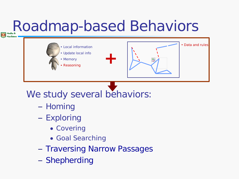## Roadmap-based Behaviors



### We study several behaviors:

- Homing
- Exploring
	- Covering
	- Goal Searching
- Traversing Narrow Passages
- Shepherding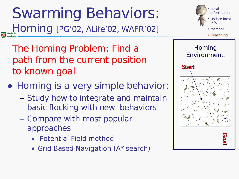The Homing Problem: Find a path from the current position to known goal

Homing [PG'02, ALife'02, WAFR'02]

Swarming Behaviors:

- Homing is a very simple behavior:
	- Study how to integrate and maintain basic flocking with new behaviors
	- Compare with most popular approaches
		- Potential Field method
		- Grid Based Navigation (A\* search)





• Local

**G o al**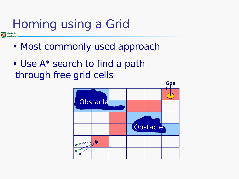#### Homing using a Grid Media &

- Most commonly used approach
- Use A\* search to find a path through free grid cells

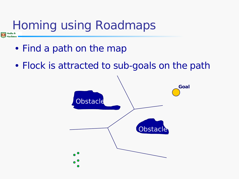## Homing using Roadmaps

- Find a path on the map
- Flock is attracted to sub-goals on the path

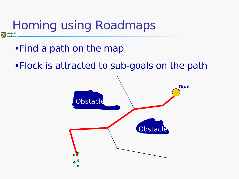## Homing using Roadmaps

- •Find a path on the map
- •Flock is attracted to sub-goals on the path

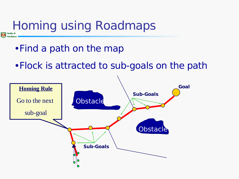## Homing using Roadmaps

- •Find a path on the map
- •Flock is attracted to sub-goals on the path

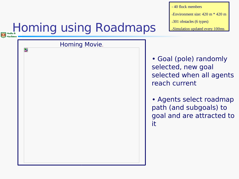- 40 flock members

-Environment size: 420 m \* 420 m

-301 obstacles (6 types)

-Simulation updated every 100ms

## Homing using Roadmaps

Homing Movie. P.

• Goal (pole) randomly selected, new goal selected when all agents reach current

• Agents select roadmap path (and subgoals) to goal and are attracted to it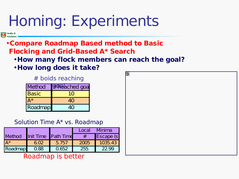## Homing: Experiments

Media &

#### •**Compare Roadmap Based method to Basic Flocking and Grid-Based A\* Search**

#### •**How many flock members can reach the goal?**

#### •**How long does it take?**

#### # boids reaching

| <b>Method</b> | <b>WReached goa</b> |
|---------------|---------------------|
| Basic         | 10                  |
| Δ∗            | 40                  |
| Roadmap       |                     |

#### Solution Time A\* vs. Roadmap

|                |      |                     | Local | Minima            |
|----------------|------|---------------------|-------|-------------------|
| <b>Method</b>  |      | Init Time Path Time |       | <b>Escape (s)</b> |
| $\mathsf{A}^*$ | 6.02 | 5.757               | 2005  | 1035.43           |
| Roadmap        | 0.88 | 0.652               | 255   | 22.99             |

Roadmap is better

| Ļ. |  |  |
|----|--|--|
|    |  |  |
|    |  |  |
|    |  |  |
|    |  |  |
|    |  |  |
|    |  |  |
|    |  |  |
|    |  |  |
|    |  |  |
|    |  |  |
|    |  |  |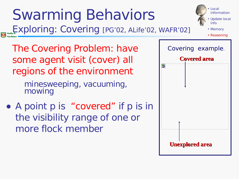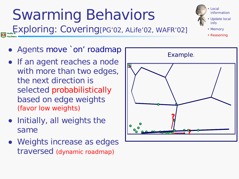## Swarming Behaviors Exploring: Covering[PG'02, ALife'02, WAFR'02]



• Reasoning

- Agents move `on' roadmap
- If an agent reaches a node with more than two edges, the next direction is selected probabilistically based on edge weights (favor low weights)
- Initially, all weights the same
- Weights increase as edges traversed (dynamic roadmap)

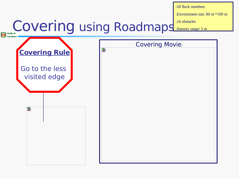-50 flock members

-Environment size: 80 m \*100 m

#### Covering using Roadmaps -Sensory range: 5 m

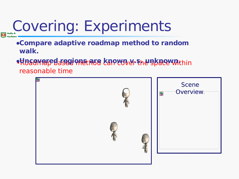# Covering: Experiments

- ●**Compare adaptive roadmap method to random walk.**
- •Roadmap based method can cover the space within ●**Uncovered regions are known v.s. unknown.**reasonable time

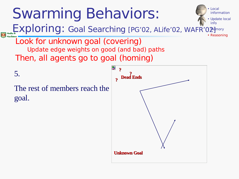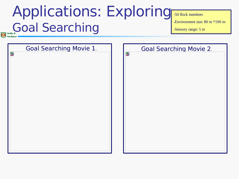## Applications: Exploring Goal Searching

-50 flock members

-Environment size: 80 m \*100 m

-Sensory range: 5 m

Goal Searching Movie 1. 零 棸

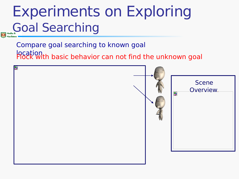## Experiments on Exploring Goal Searching

Compare goal searching to known goal location Flock with basic behavior can not find the unknown goal

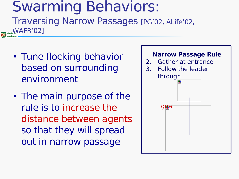### Swarming Behaviors: Traversing Narrow Passages [PG'02, ALife'02, WAFR'02]

- Tune flocking behavior based on surrounding environment
- The main purpose of the rule is to increase the distance between agents so that they will spread out in narrow passage

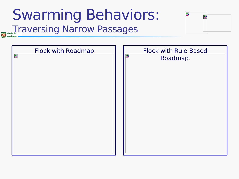## Swarming Behaviors: Traversing Narrow Passages



| Flock with Roadmap.<br>支 | <b>Flock with Rule Based</b><br>ķ.<br>Roadmap. |
|--------------------------|------------------------------------------------|
|                          |                                                |
|                          |                                                |
|                          |                                                |
|                          |                                                |
|                          |                                                |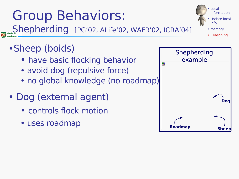## Group Behaviors:

Shepherding [PG'02, ALife'02, WAFR'02, ICRA'04]

### •Sheep (boids)

- have basic flocking behavior
- avoid dog (repulsive force)
- no global knowledge (no roadmap)
- Dog (external agent)
	- controls flock motion
	- uses roadmap



• Local information Update local info • Memory

• Reasoning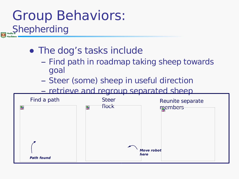### Group Behaviors: Shepherding

- The dog's tasks include
	- Find path in roadmap taking sheep towards goal
	- Steer (some) sheep in useful direction
	- retrieve and regroup separated sheep

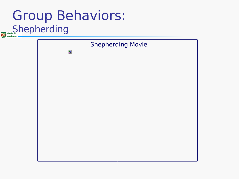### Group Behaviors: Shepherding

| <b>Shepherding Movie.</b> |                      |  |  |  |  |
|---------------------------|----------------------|--|--|--|--|
|                           | $\frac{1}{\Delta^2}$ |  |  |  |  |
|                           |                      |  |  |  |  |
|                           |                      |  |  |  |  |
|                           |                      |  |  |  |  |
|                           |                      |  |  |  |  |
|                           |                      |  |  |  |  |
|                           |                      |  |  |  |  |
|                           |                      |  |  |  |  |
|                           |                      |  |  |  |  |
|                           |                      |  |  |  |  |
|                           |                      |  |  |  |  |
|                           |                      |  |  |  |  |
|                           |                      |  |  |  |  |
|                           |                      |  |  |  |  |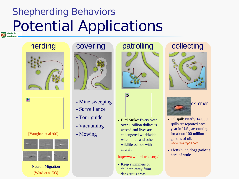## Shepherding Behaviors **Potential Applications**





[Vaughan et al '00]



Neuron Migration [Ward et al '03]



- Mine sweeping
- Surveillance
- Tour guide
- Vacuuming
- Mowing



- 뗿
- Bird Strike: Every year, over 1 billion dollars is wasted and lives are endangered worldwide when birds and other wildlife collide with aircraft.

#### http://www.birdstrike.org/

• Keep swimmers or children away from dangerous areas.

### collecting





- Oil spill: Nearly 14,000 spills are reported each year in U.S., accounting for about 100 million gallons of oil. www.cleanupoil.com
- Lions hunt, dogs gather a herd of cattle.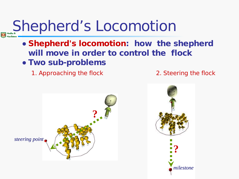# Shepherd's Locomotion

- **Shepherd's locomotion: how the shepherd will move in order to control the flock**
- **Two sub-problems**
	- 1. Approaching the flock 2. Steering the flock



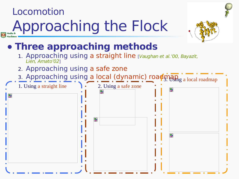### Locomotion

# Approaching the Flock



### ● **Three approaching methods**

- 1. Approaching using a straight line [Vaughan et al.'00, Bayazit, Lien, Amato'021
- 2. Approaching using a safe zone
- 3. Approaching using a local (dynamic) roadmap a local roadmap

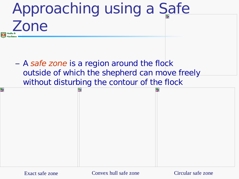

Exact safe zone Convex hull safe zone Circular safe zone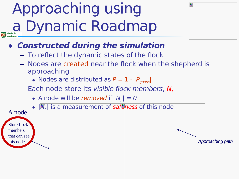## Approaching using a Dynamic Roadmap



### ● **Constructed during the simulation**

- To reflect the dynamic states of the flock
- Nodes are created near the flock when the shepherd is approaching
	- Nodes are distributed as  $P = 1 |P_{gauss}|$
- Each node store its visible flock members,  $N_f$ 
	- $\bullet\,$  A node will be *removed* if  $|N_{_f}|=0$

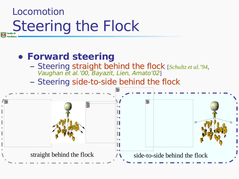### Locomotion Steering the Flock

### ● **Forward steering**

- Steering straight behind the flock [*Schultz et al.'94*, Vaughan et al.'00, Bayazit, Lien, Amato'02]
- Steering side-to-side behind the flock

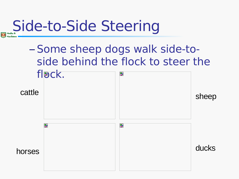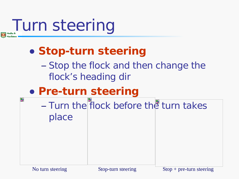## Turn steering

### ● **Stop-turn steering**

– Stop the flock and then change the flock's heading dir

### ● **Pre-turn steering**

– Turn the flock before the turn takes place

Ą.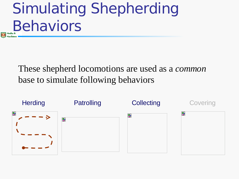## Simulating Shepherding Behaviors

These shepherd locomotions are used as a *common* base to simulate following behaviors

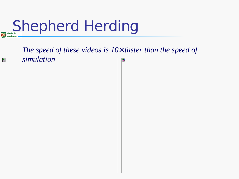# Shepherd Herding

*The speed of these videos is 10*× *faster than the speed of*

| $\mathbf{A}^{\bullet}$ | simulation | Р <mark>е</mark> |
|------------------------|------------|------------------|
|                        |            |                  |
|                        |            |                  |
|                        |            |                  |
|                        |            |                  |
|                        |            |                  |
|                        |            |                  |
|                        |            |                  |
|                        |            |                  |
|                        |            |                  |
|                        |            |                  |
|                        |            |                  |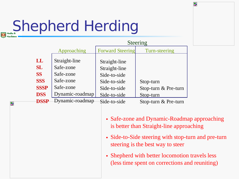# Shepherd Herding

뜻

|                                                                                        |                                                                                                         |                                                                                                                | <b>Steering</b>                                                        |
|----------------------------------------------------------------------------------------|---------------------------------------------------------------------------------------------------------|----------------------------------------------------------------------------------------------------------------|------------------------------------------------------------------------|
|                                                                                        | Approaching                                                                                             | <b>Forward Steering</b>                                                                                        | Turn-steering                                                          |
| LL<br><b>SL</b><br><b>SS</b><br><b>SSS</b><br><b>SSSP</b><br><b>DSS</b><br><b>DSSP</b> | Straight-line<br>Safe-zone<br>Safe-zone<br>Safe-zone<br>Safe-zone<br>Dynamic-roadmap<br>Dynamic-roadmap | Straight-line<br>Straight-line<br>Side-to-side<br>Side-to-side<br>Side-to-side<br>Side-to-side<br>Side-to-side | Stop-turn<br>Stop-turn & Pre-turn<br>Stop-turn<br>Stop-turn & Pre-turn |

• Safe-zone and Dynamic-Roadmap approaching is better than Straight-line approaching

Ę.

- Side-to-Side steering with stop-turn and pre-turn steering is the best way to steer
- Shepherd with better locomotion travels less (less time spent on corrections and reuniting)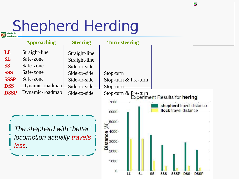# Shepherd Herding



零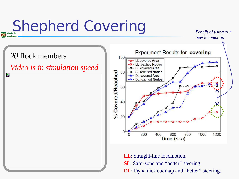# Shepherd Covering

*Benefit of using our new locomotion*

1000

1200

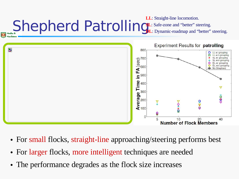#### Shepherd Patrolling **LL**: Straight-line locomotion. **SL**: Safe-zone and "better" steering. **DL**: Dynamic-roadmap and "better" steering.



- For small flocks, straight-line approaching/steering performs best
- For larger flocks, more intelligent techniques are needed
- The performance degrades as the flock size increases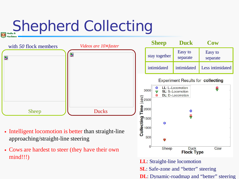# Shepherd Collecting



**LL**: Straight-line locomotion

**SL**: Safe-zone and "better" steering

**DL**: Dynamic-roadmap and "better" steering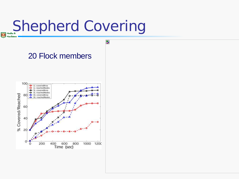# Shepherd Covering

Ŗ.

#### 20 Flock members

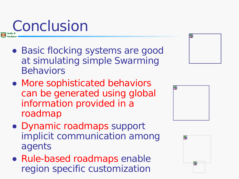**Conclusion** 

- Basic flocking systems are good at simulating simple Swarming Behaviors
- More sophisticated behaviors can be generated using global information provided in a roadmap
- Dynamic roadmaps support implicit communication among agents
- Rule-based roadmaps enable region specific customization



| $\overline{\mathbf{z}}$ |  |  |  |
|-------------------------|--|--|--|
|                         |  |  |  |
|                         |  |  |  |
|                         |  |  |  |
|                         |  |  |  |
|                         |  |  |  |

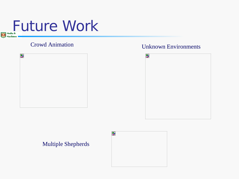



#### Crowd Animation Unknown Environments



#### Multiple Shepherds